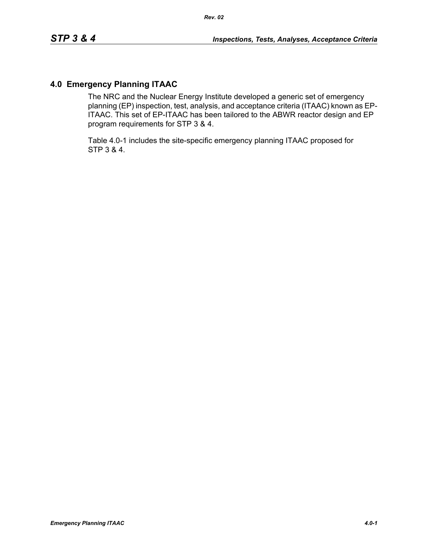# **4.0 Emergency Planning ITAAC**

The NRC and the Nuclear Energy Institute developed a generic set of emergency planning (EP) inspection, test, analysis, and acceptance criteria (ITAAC) known as EP-ITAAC. This set of EP-ITAAC has been tailored to the ABWR reactor design and EP program requirements for STP 3 & 4.

Table 4.0-1 includes the site-specific emergency planning ITAAC proposed for STP 3 & 4.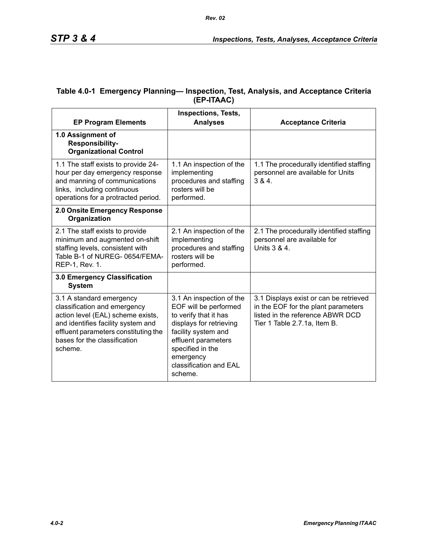| <b>EP Program Elements</b>                                                                                                                                                                                             | <b>Inspections, Tests,</b><br><b>Analyses</b>                                                                                                                                                                             | <b>Acceptance Criteria</b>                                                                                                                        |
|------------------------------------------------------------------------------------------------------------------------------------------------------------------------------------------------------------------------|---------------------------------------------------------------------------------------------------------------------------------------------------------------------------------------------------------------------------|---------------------------------------------------------------------------------------------------------------------------------------------------|
| 1.0 Assignment of<br>Responsibility-<br><b>Organizational Control</b>                                                                                                                                                  |                                                                                                                                                                                                                           |                                                                                                                                                   |
| 1.1 The staff exists to provide 24-<br>hour per day emergency response<br>and manning of communications<br>links, including continuous<br>operations for a protracted period.                                          | 1.1 An inspection of the<br>implementing<br>procedures and staffing<br>rosters will be<br>performed.                                                                                                                      | 1.1 The procedurally identified staffing<br>personnel are available for Units<br>384.                                                             |
| 2.0 Onsite Emergency Response<br>Organization                                                                                                                                                                          |                                                                                                                                                                                                                           |                                                                                                                                                   |
| 2.1 The staff exists to provide<br>minimum and augmented on-shift<br>staffing levels, consistent with<br>Table B-1 of NUREG-0654/FEMA-<br>REP-1, Rev. 1.                                                               | 2.1 An inspection of the<br>implementing<br>procedures and staffing<br>rosters will be<br>performed.                                                                                                                      | 2.1 The procedurally identified staffing<br>personnel are available for<br>Units 3 & 4.                                                           |
| 3.0 Emergency Classification<br><b>System</b>                                                                                                                                                                          |                                                                                                                                                                                                                           |                                                                                                                                                   |
| 3.1 A standard emergency<br>classification and emergency<br>action level (EAL) scheme exists,<br>and identifies facility system and<br>effluent parameters constituting the<br>bases for the classification<br>scheme. | 3.1 An inspection of the<br>EOF will be performed<br>to verify that it has<br>displays for retrieving<br>facility system and<br>effluent parameters<br>specified in the<br>emergency<br>classification and EAL<br>scheme. | 3.1 Displays exist or can be retrieved<br>in the EOF for the plant parameters<br>listed in the reference ABWR DCD<br>Tier 1 Table 2.7.1a, Item B. |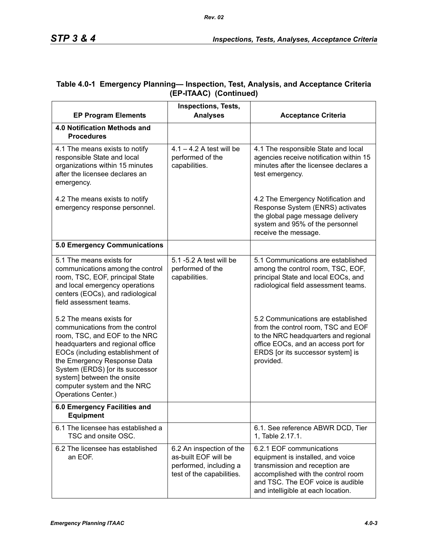| Table 4.0-1 Emergency Planning— Inspection, Test, Analysis, and Acceptance Criteria |
|-------------------------------------------------------------------------------------|
| (EP-ITAAC) (Continued)                                                              |

|                                                                                                                                                                                                                                                                                                                            | <b>Inspections, Tests,</b>                                                                              |                                                                                                                                                                                                                  |
|----------------------------------------------------------------------------------------------------------------------------------------------------------------------------------------------------------------------------------------------------------------------------------------------------------------------------|---------------------------------------------------------------------------------------------------------|------------------------------------------------------------------------------------------------------------------------------------------------------------------------------------------------------------------|
| <b>EP Program Elements</b>                                                                                                                                                                                                                                                                                                 | <b>Analyses</b>                                                                                         | <b>Acceptance Criteria</b>                                                                                                                                                                                       |
| 4.0 Notification Methods and<br><b>Procedures</b>                                                                                                                                                                                                                                                                          |                                                                                                         |                                                                                                                                                                                                                  |
| 4.1 The means exists to notify<br>responsible State and local<br>organizations within 15 minutes<br>after the licensee declares an<br>emergency.                                                                                                                                                                           | $4.1 - 4.2$ A test will be<br>performed of the<br>capabilities.                                         | 4.1 The responsible State and local<br>agencies receive notification within 15<br>minutes after the licensee declares a<br>test emergency.                                                                       |
| 4.2 The means exists to notify<br>emergency response personnel.                                                                                                                                                                                                                                                            |                                                                                                         | 4.2 The Emergency Notification and<br>Response System (ENRS) activates<br>the global page message delivery<br>system and 95% of the personnel<br>receive the message.                                            |
| <b>5.0 Emergency Communications</b>                                                                                                                                                                                                                                                                                        |                                                                                                         |                                                                                                                                                                                                                  |
| 5.1 The means exists for<br>communications among the control<br>room, TSC, EOF, principal State<br>and local emergency operations<br>centers (EOCs), and radiological<br>field assessment teams.                                                                                                                           | 5.1 -5.2 A test will be<br>performed of the<br>capabilities.                                            | 5.1 Communications are established<br>among the control room, TSC, EOF,<br>principal State and local EOCs, and<br>radiological field assessment teams.                                                           |
| 5.2 The means exists for<br>communications from the control<br>room, TSC, and EOF to the NRC<br>headquarters and regional office<br>EOCs (including establishment of<br>the Emergency Response Data<br>System (ERDS) [or its successor<br>system] between the onsite<br>computer system and the NRC<br>Operations Center.) |                                                                                                         | 5.2 Communications are established<br>from the control room, TSC and EOF<br>to the NRC headquarters and regional<br>office EOCs, and an access port for<br>ERDS [or its successor system] is<br>provided.        |
| 6.0 Emergency Facilities and<br><b>Equipment</b>                                                                                                                                                                                                                                                                           |                                                                                                         |                                                                                                                                                                                                                  |
| 6.1 The licensee has established a<br>TSC and onsite OSC.                                                                                                                                                                                                                                                                  |                                                                                                         | 6.1. See reference ABWR DCD, Tier<br>1, Table 2.17.1.                                                                                                                                                            |
| 6.2 The licensee has established<br>an EOF.                                                                                                                                                                                                                                                                                | 6.2 An inspection of the<br>as-built EOF will be<br>performed, including a<br>test of the capabilities. | 6.2.1 EOF communications<br>equipment is installed, and voice<br>transmission and reception are<br>accomplished with the control room<br>and TSC. The EOF voice is audible<br>and intelligible at each location. |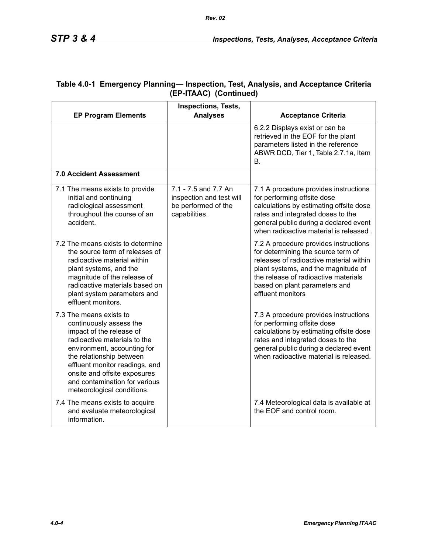|                                                                                                                                                                                                                                                                                                            | Inspections, Tests,                                                                      |                                                                                                                                                                                                                                                             |
|------------------------------------------------------------------------------------------------------------------------------------------------------------------------------------------------------------------------------------------------------------------------------------------------------------|------------------------------------------------------------------------------------------|-------------------------------------------------------------------------------------------------------------------------------------------------------------------------------------------------------------------------------------------------------------|
| <b>EP Program Elements</b>                                                                                                                                                                                                                                                                                 | <b>Analyses</b>                                                                          | <b>Acceptance Criteria</b>                                                                                                                                                                                                                                  |
|                                                                                                                                                                                                                                                                                                            |                                                                                          | 6.2.2 Displays exist or can be<br>retrieved in the EOF for the plant<br>parameters listed in the reference<br>ABWR DCD, Tier 1, Table 2.7.1a, Item<br>В.                                                                                                    |
| 7.0 Accident Assessment                                                                                                                                                                                                                                                                                    |                                                                                          |                                                                                                                                                                                                                                                             |
| 7.1 The means exists to provide<br>initial and continuing<br>radiological assessment<br>throughout the course of an<br>accident.                                                                                                                                                                           | 7.1 - 7.5 and 7.7 An<br>inspection and test will<br>be performed of the<br>capabilities. | 7.1 A procedure provides instructions<br>for performing offsite dose<br>calculations by estimating offsite dose<br>rates and integrated doses to the<br>general public during a declared event<br>when radioactive material is released.                    |
| 7.2 The means exists to determine<br>the source term of releases of<br>radioactive material within<br>plant systems, and the<br>magnitude of the release of<br>radioactive materials based on<br>plant system parameters and<br>effluent monitors.                                                         |                                                                                          | 7.2 A procedure provides instructions<br>for determining the source term of<br>releases of radioactive material within<br>plant systems, and the magnitude of<br>the release of radioactive materials<br>based on plant parameters and<br>effluent monitors |
| 7.3 The means exists to<br>continuously assess the<br>impact of the release of<br>radioactive materials to the<br>environment, accounting for<br>the relationship between<br>effluent monitor readings, and<br>onsite and offsite exposures<br>and contamination for various<br>meteorological conditions. |                                                                                          | 7.3 A procedure provides instructions<br>for performing offsite dose<br>calculations by estimating offsite dose<br>rates and integrated doses to the<br>general public during a declared event<br>when radioactive material is released.                    |
| 7.4 The means exists to acquire<br>and evaluate meteorological<br>information.                                                                                                                                                                                                                             |                                                                                          | 7.4 Meteorological data is available at<br>the EOF and control room.                                                                                                                                                                                        |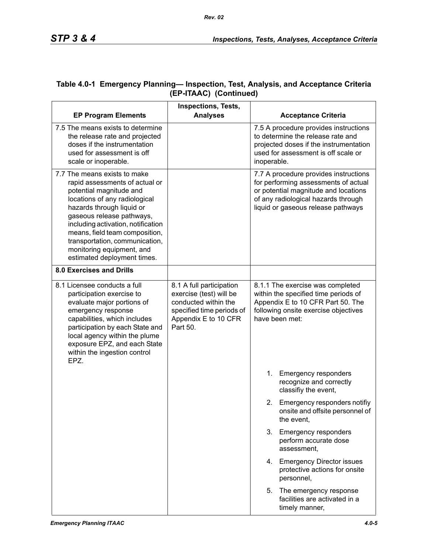| <b>EP Program Elements</b>                                                                                                                                                                                                                                                                                                                                 | <b>Inspections, Tests,</b><br><b>Analyses</b>                                                                                                | <b>Acceptance Criteria</b>                                                                                                                                                                         |
|------------------------------------------------------------------------------------------------------------------------------------------------------------------------------------------------------------------------------------------------------------------------------------------------------------------------------------------------------------|----------------------------------------------------------------------------------------------------------------------------------------------|----------------------------------------------------------------------------------------------------------------------------------------------------------------------------------------------------|
| 7.5 The means exists to determine<br>the release rate and projected<br>doses if the instrumentation<br>used for assessment is off<br>scale or inoperable.                                                                                                                                                                                                  |                                                                                                                                              | 7.5 A procedure provides instructions<br>to determine the release rate and<br>projected doses if the instrumentation<br>used for assessment is off scale or<br>inoperable.                         |
| 7.7 The means exists to make<br>rapid assessments of actual or<br>potential magnitude and<br>locations of any radiological<br>hazards through liquid or<br>gaseous release pathways,<br>including activation, notification<br>means, field team composition,<br>transportation, communication,<br>monitoring equipment, and<br>estimated deployment times. |                                                                                                                                              | 7.7 A procedure provides instructions<br>for performing assessments of actual<br>or potential magnitude and locations<br>of any radiological hazards through<br>liquid or gaseous release pathways |
| <b>8.0 Exercises and Drills</b>                                                                                                                                                                                                                                                                                                                            |                                                                                                                                              |                                                                                                                                                                                                    |
| 8.1 Licensee conducts a full<br>participation exercise to<br>evaluate major portions of<br>emergency response<br>capabilities, which includes<br>participation by each State and<br>local agency within the plume<br>exposure EPZ, and each State<br>within the ingestion control<br>EPZ.                                                                  | 8.1 A full participation<br>exercise (test) will be<br>conducted within the<br>specified time periods of<br>Appendix E to 10 CFR<br>Part 50. | 8.1.1 The exercise was completed<br>within the specified time periods of<br>Appendix E to 10 CFR Part 50. The<br>following onsite exercise objectives<br>have been met:                            |
|                                                                                                                                                                                                                                                                                                                                                            |                                                                                                                                              | 1.<br><b>Emergency responders</b><br>recognize and correctly<br>classifiy the event,                                                                                                               |
|                                                                                                                                                                                                                                                                                                                                                            |                                                                                                                                              | Emergency responders notifiy<br>2.<br>onsite and offsite personnel of<br>the event,                                                                                                                |
|                                                                                                                                                                                                                                                                                                                                                            |                                                                                                                                              | <b>Emergency responders</b><br>3.<br>perform accurate dose<br>assessment.                                                                                                                          |
|                                                                                                                                                                                                                                                                                                                                                            |                                                                                                                                              | <b>Emergency Director issues</b><br>4.<br>protective actions for onsite<br>personnel,                                                                                                              |
|                                                                                                                                                                                                                                                                                                                                                            |                                                                                                                                              | The emergency response<br>5.<br>facilities are activated in a<br>timely manner,                                                                                                                    |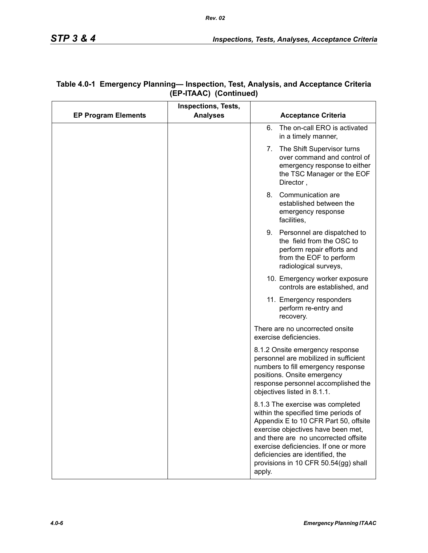|                            | <b>Inspections, Tests,</b> |                                                                                                                                                                                                                                                                                                                                |
|----------------------------|----------------------------|--------------------------------------------------------------------------------------------------------------------------------------------------------------------------------------------------------------------------------------------------------------------------------------------------------------------------------|
| <b>EP Program Elements</b> | <b>Analyses</b>            | <b>Acceptance Criteria</b>                                                                                                                                                                                                                                                                                                     |
|                            |                            | The on-call ERO is activated<br>6.<br>in a timely manner,                                                                                                                                                                                                                                                                      |
|                            |                            | The Shift Supervisor turns<br>7.<br>over command and control of<br>emergency response to either<br>the TSC Manager or the EOF<br>Director,                                                                                                                                                                                     |
|                            |                            | Communication are<br>8.<br>established between the<br>emergency response<br>facilities,                                                                                                                                                                                                                                        |
|                            |                            | Personnel are dispatched to<br>9.<br>the field from the OSC to<br>perform repair efforts and<br>from the EOF to perform<br>radiological surveys,                                                                                                                                                                               |
|                            |                            | 10. Emergency worker exposure<br>controls are established, and                                                                                                                                                                                                                                                                 |
|                            |                            | 11. Emergency responders<br>perform re-entry and<br>recovery.                                                                                                                                                                                                                                                                  |
|                            |                            | There are no uncorrected onsite<br>exercise deficiencies.                                                                                                                                                                                                                                                                      |
|                            |                            | 8.1.2 Onsite emergency response<br>personnel are mobilized in sufficient<br>numbers to fill emergency response<br>positions. Onsite emergency<br>response personnel accomplished the<br>objectives listed in 8.1.1.                                                                                                            |
|                            |                            | 8.1.3 The exercise was completed<br>within the specified time periods of<br>Appendix E to 10 CFR Part 50, offsite<br>exercise objectives have been met,<br>and there are no uncorrected offsite<br>exercise deficiencies. If one or more<br>deficiencies are identified, the<br>provisions in 10 CFR 50.54(gg) shall<br>apply. |